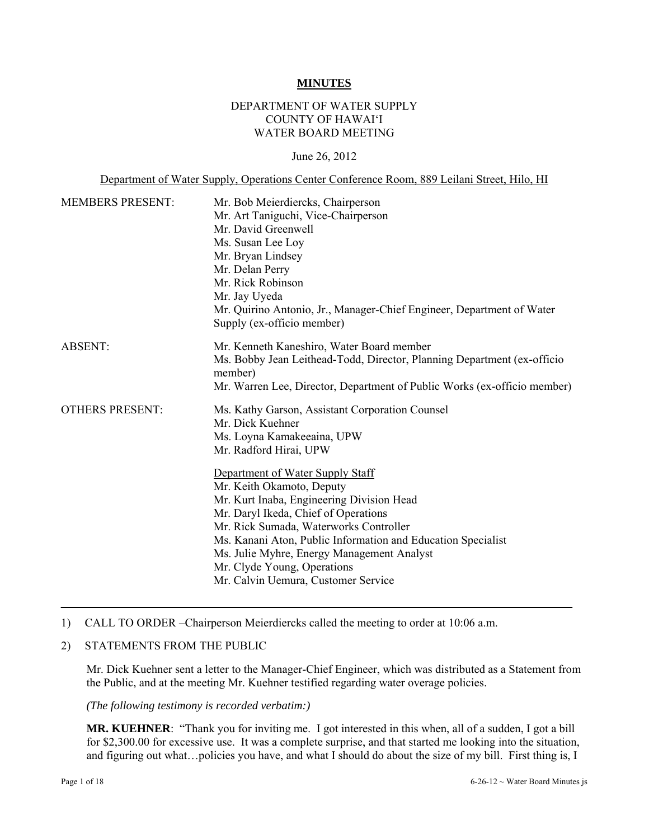#### **MINUTES**

## DEPARTMENT OF WATER SUPPLY COUNTY OF HAWAI'I WATER BOARD MEETING

### June 26, 2012

Department of Water Supply, Operations Center Conference Room, 889 Leilani Street, Hilo, HI

| <b>MEMBERS PRESENT:</b> | Mr. Bob Meierdiercks, Chairperson<br>Mr. Art Taniguchi, Vice-Chairperson<br>Mr. David Greenwell<br>Ms. Susan Lee Loy<br>Mr. Bryan Lindsey<br>Mr. Delan Perry<br>Mr. Rick Robinson<br>Mr. Jay Uyeda<br>Mr. Quirino Antonio, Jr., Manager-Chief Engineer, Department of Water<br>Supply (ex-officio member)                                                                                                                                                                                                       |
|-------------------------|-----------------------------------------------------------------------------------------------------------------------------------------------------------------------------------------------------------------------------------------------------------------------------------------------------------------------------------------------------------------------------------------------------------------------------------------------------------------------------------------------------------------|
| <b>ABSENT:</b>          | Mr. Kenneth Kaneshiro, Water Board member<br>Ms. Bobby Jean Leithead-Todd, Director, Planning Department (ex-officio<br>member)<br>Mr. Warren Lee, Director, Department of Public Works (ex-officio member)                                                                                                                                                                                                                                                                                                     |
| <b>OTHERS PRESENT:</b>  | Ms. Kathy Garson, Assistant Corporation Counsel<br>Mr. Dick Kuehner<br>Ms. Loyna Kamakeeaina, UPW<br>Mr. Radford Hirai, UPW<br>Department of Water Supply Staff<br>Mr. Keith Okamoto, Deputy<br>Mr. Kurt Inaba, Engineering Division Head<br>Mr. Daryl Ikeda, Chief of Operations<br>Mr. Rick Sumada, Waterworks Controller<br>Ms. Kanani Aton, Public Information and Education Specialist<br>Ms. Julie Myhre, Energy Management Analyst<br>Mr. Clyde Young, Operations<br>Mr. Calvin Uemura, Customer Service |

### 1) CALL TO ORDER –Chairperson Meierdiercks called the meeting to order at 10:06 a.m.

#### 2) STATEMENTS FROM THE PUBLIC

Mr. Dick Kuehner sent a letter to the Manager-Chief Engineer, which was distributed as a Statement from the Public, and at the meeting Mr. Kuehner testified regarding water overage policies.

*(The following testimony is recorded verbatim:)* 

**MR. KUEHNER**: "Thank you for inviting me. I got interested in this when, all of a sudden, I got a bill for \$2,300.00 for excessive use. It was a complete surprise, and that started me looking into the situation, and figuring out what…policies you have, and what I should do about the size of my bill. First thing is, I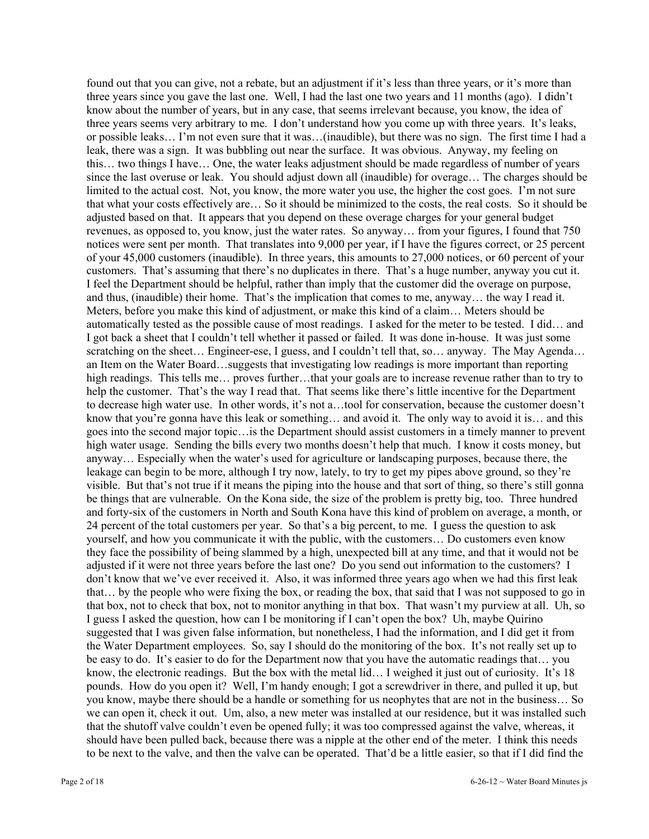found out that you can give, not a rebate, but an adjustment if it's less than three years, or it's more than three years since you gave the last one. Well, I had the last one two years and 11 months (ago). I didn't know about the number of years, but in any case, that seems irrelevant because, you know, the idea of three years seems very arbitrary to me. I don't understand how you come up with three years. It's leaks, or possible leaks… I'm not even sure that it was…(inaudible), but there was no sign. The first time I had a leak, there was a sign. It was bubbling out near the surface. It was obvious. Anyway, my feeling on this… two things I have… One, the water leaks adjustment should be made regardless of number of years since the last overuse or leak. You should adjust down all (inaudible) for overage… The charges should be limited to the actual cost. Not, you know, the more water you use, the higher the cost goes. I'm not sure that what your costs effectively are… So it should be minimized to the costs, the real costs. So it should be adjusted based on that. It appears that you depend on these overage charges for your general budget revenues, as opposed to, you know, just the water rates. So anyway… from your figures, I found that 750 notices were sent per month. That translates into 9,000 per year, if I have the figures correct, or 25 percent of your 45,000 customers (inaudible). In three years, this amounts to 27,000 notices, or 60 percent of your customers. That's assuming that there's no duplicates in there. That's a huge number, anyway you cut it. I feel the Department should be helpful, rather than imply that the customer did the overage on purpose, and thus, (inaudible) their home. That's the implication that comes to me, anyway… the way I read it. Meters, before you make this kind of adjustment, or make this kind of a claim… Meters should be automatically tested as the possible cause of most readings. I asked for the meter to be tested. I did… and I got back a sheet that I couldn't tell whether it passed or failed. It was done in-house. It was just some scratching on the sheet... Engineer-ese, I guess, and I couldn't tell that, so... anyway. The May Agenda... an Item on the Water Board…suggests that investigating low readings is more important than reporting high readings. This tells me... proves further...that your goals are to increase revenue rather than to try to help the customer. That's the way I read that. That seems like there's little incentive for the Department to decrease high water use. In other words, it's not a…tool for conservation, because the customer doesn't know that you're gonna have this leak or something… and avoid it. The only way to avoid it is… and this goes into the second major topic…is the Department should assist customers in a timely manner to prevent high water usage. Sending the bills every two months doesn't help that much. I know it costs money, but anyway… Especially when the water's used for agriculture or landscaping purposes, because there, the leakage can begin to be more, although I try now, lately, to try to get my pipes above ground, so they're visible. But that's not true if it means the piping into the house and that sort of thing, so there's still gonna be things that are vulnerable. On the Kona side, the size of the problem is pretty big, too. Three hundred and forty-six of the customers in North and South Kona have this kind of problem on average, a month, or 24 percent of the total customers per year. So that's a big percent, to me. I guess the question to ask yourself, and how you communicate it with the public, with the customers… Do customers even know they face the possibility of being slammed by a high, unexpected bill at any time, and that it would not be adjusted if it were not three years before the last one? Do you send out information to the customers? I don't know that we've ever received it. Also, it was informed three years ago when we had this first leak that… by the people who were fixing the box, or reading the box, that said that I was not supposed to go in that box, not to check that box, not to monitor anything in that box. That wasn't my purview at all. Uh, so I guess I asked the question, how can I be monitoring if I can't open the box? Uh, maybe Quirino suggested that I was given false information, but nonetheless, I had the information, and I did get it from the Water Department employees. So, say I should do the monitoring of the box. It's not really set up to be easy to do. It's easier to do for the Department now that you have the automatic readings that… you know, the electronic readings. But the box with the metal lid… I weighed it just out of curiosity. It's 18 pounds. How do you open it? Well, I'm handy enough; I got a screwdriver in there, and pulled it up, but you know, maybe there should be a handle or something for us neophytes that are not in the business… So we can open it, check it out. Um, also, a new meter was installed at our residence, but it was installed such that the shutoff valve couldn't even be opened fully; it was too compressed against the valve, whereas, it should have been pulled back, because there was a nipple at the other end of the meter. I think this needs to be next to the valve, and then the valve can be operated. That'd be a little easier, so that if I did find the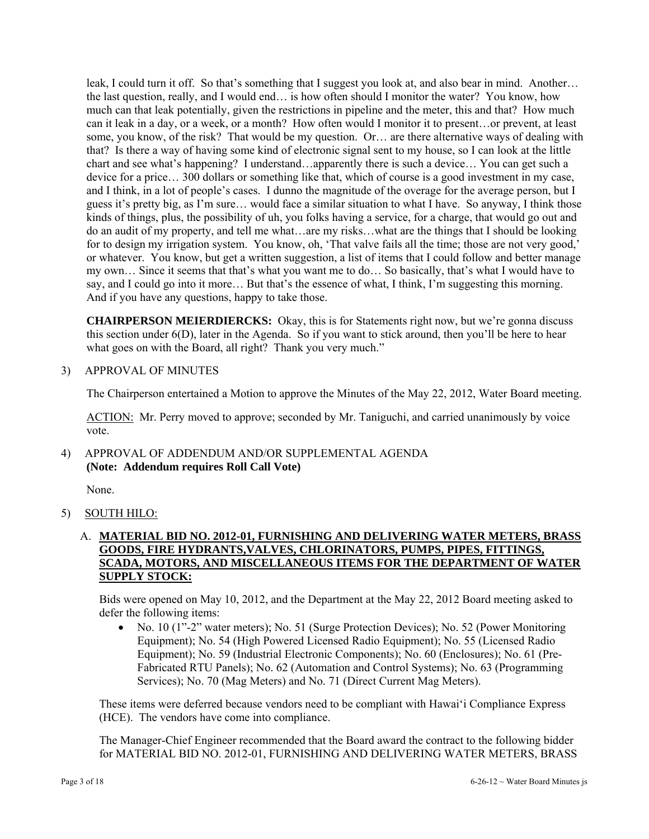leak, I could turn it off. So that's something that I suggest you look at, and also bear in mind. Another… the last question, really, and I would end… is how often should I monitor the water? You know, how much can that leak potentially, given the restrictions in pipeline and the meter, this and that? How much can it leak in a day, or a week, or a month? How often would I monitor it to present…or prevent, at least some, you know, of the risk? That would be my question. Or… are there alternative ways of dealing with that? Is there a way of having some kind of electronic signal sent to my house, so I can look at the little chart and see what's happening? I understand…apparently there is such a device… You can get such a device for a price… 300 dollars or something like that, which of course is a good investment in my case, and I think, in a lot of people's cases. I dunno the magnitude of the overage for the average person, but I guess it's pretty big, as I'm sure… would face a similar situation to what I have. So anyway, I think those kinds of things, plus, the possibility of uh, you folks having a service, for a charge, that would go out and do an audit of my property, and tell me what…are my risks…what are the things that I should be looking for to design my irrigation system. You know, oh, 'That valve fails all the time; those are not very good,' or whatever. You know, but get a written suggestion, a list of items that I could follow and better manage my own… Since it seems that that's what you want me to do… So basically, that's what I would have to say, and I could go into it more... But that's the essence of what, I think, I'm suggesting this morning. And if you have any questions, happy to take those.

**CHAIRPERSON MEIERDIERCKS:** Okay, this is for Statements right now, but we're gonna discuss this section under 6(D), later in the Agenda. So if you want to stick around, then you'll be here to hear what goes on with the Board, all right? Thank you very much."

3) APPROVAL OF MINUTES

The Chairperson entertained a Motion to approve the Minutes of the May 22, 2012, Water Board meeting.

ACTION: Mr. Perry moved to approve; seconded by Mr. Taniguchi, and carried unanimously by voice vote.

4) APPROVAL OF ADDENDUM AND/OR SUPPLEMENTAL AGENDA **(Note: Addendum requires Roll Call Vote)** 

None.

5) SOUTH HILO:

## A. **MATERIAL BID NO. 2012-01, FURNISHING AND DELIVERING WATER METERS, BRASS GOODS, FIRE HYDRANTS,VALVES, CHLORINATORS, PUMPS, PIPES, FITTINGS, SCADA, MOTORS, AND MISCELLANEOUS ITEMS FOR THE DEPARTMENT OF WATER SUPPLY STOCK:**

Bids were opened on May 10, 2012, and the Department at the May 22, 2012 Board meeting asked to defer the following items:

 No. 10 (1"-2" water meters); No. 51 (Surge Protection Devices); No. 52 (Power Monitoring Equipment); No. 54 (High Powered Licensed Radio Equipment); No. 55 (Licensed Radio Equipment); No. 59 (Industrial Electronic Components); No. 60 (Enclosures); No. 61 (Pre-Fabricated RTU Panels); No. 62 (Automation and Control Systems); No. 63 (Programming Services); No. 70 (Mag Meters) and No. 71 (Direct Current Mag Meters).

These items were deferred because vendors need to be compliant with Hawai'i Compliance Express (HCE). The vendors have come into compliance.

The Manager-Chief Engineer recommended that the Board award the contract to the following bidder for MATERIAL BID NO. 2012-01, FURNISHING AND DELIVERING WATER METERS, BRASS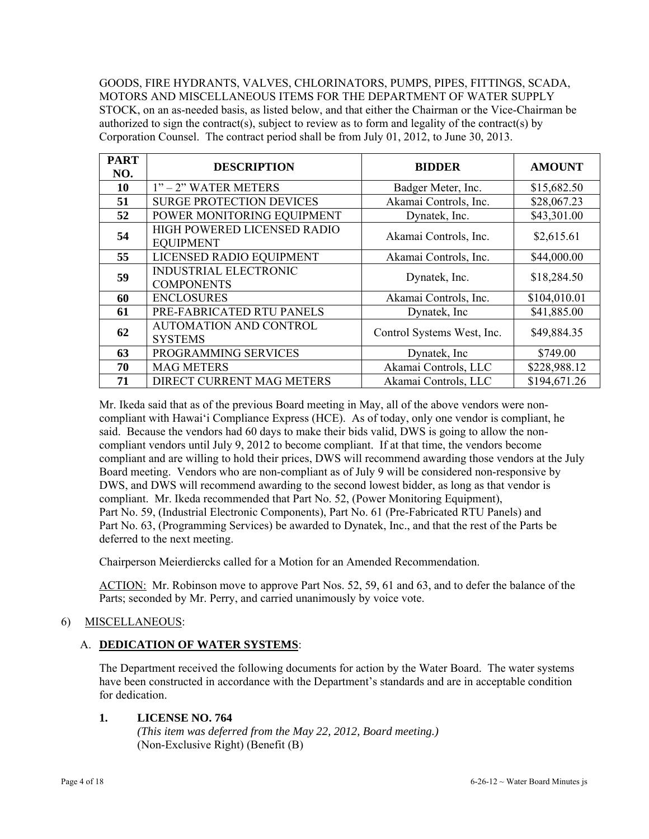GOODS, FIRE HYDRANTS, VALVES, CHLORINATORS, PUMPS, PIPES, FITTINGS, SCADA, MOTORS AND MISCELLANEOUS ITEMS FOR THE DEPARTMENT OF WATER SUPPLY STOCK, on an as-needed basis, as listed below, and that either the Chairman or the Vice-Chairman be authorized to sign the contract(s), subject to review as to form and legality of the contract(s) by Corporation Counsel. The contract period shall be from July 01, 2012, to June 30, 2013.

| <b>PART</b><br>NO. | <b>DESCRIPTION</b>                                | <b>BIDDER</b>              | <b>AMOUNT</b> |
|--------------------|---------------------------------------------------|----------------------------|---------------|
| 10                 | $1"$ – $2"$ WATER METERS                          | Badger Meter, Inc.         | \$15,682.50   |
| 51                 | <b>SURGE PROTECTION DEVICES</b>                   | Akamai Controls, Inc.      | \$28,067.23   |
| 52                 | POWER MONITORING EQUIPMENT                        | Dynatek, Inc.              | \$43,301.00   |
| 54                 | HIGH POWERED LICENSED RADIO<br><b>EQUIPMENT</b>   | Akamai Controls, Inc.      | \$2,615.61    |
| 55                 | LICENSED RADIO EQUIPMENT                          | Akamai Controls, Inc.      | \$44,000.00   |
| 59                 | <b>INDUSTRIAL ELECTRONIC</b><br><b>COMPONENTS</b> | Dynatek, Inc.              | \$18,284.50   |
| 60                 | <b>ENCLOSURES</b>                                 | Akamai Controls, Inc.      | \$104,010.01  |
| 61                 | PRE-FABRICATED RTU PANELS                         | Dynatek, Inc.              | \$41,885.00   |
| 62                 | <b>AUTOMATION AND CONTROL</b><br><b>SYSTEMS</b>   | Control Systems West, Inc. | \$49,884.35   |
| 63                 | PROGRAMMING SERVICES                              | Dynatek, Inc.              | \$749.00      |
| 70                 | <b>MAG METERS</b>                                 | Akamai Controls, LLC       | \$228,988.12  |
| 71                 | DIRECT CURRENT MAG METERS                         | Akamai Controls, LLC       | \$194,671.26  |

Mr. Ikeda said that as of the previous Board meeting in May, all of the above vendors were noncompliant with Hawai'i Compliance Express (HCE). As of today, only one vendor is compliant, he said. Because the vendors had 60 days to make their bids valid, DWS is going to allow the noncompliant vendors until July 9, 2012 to become compliant. If at that time, the vendors become compliant and are willing to hold their prices, DWS will recommend awarding those vendors at the July Board meeting. Vendors who are non-compliant as of July 9 will be considered non-responsive by DWS, and DWS will recommend awarding to the second lowest bidder, as long as that vendor is compliant. Mr. Ikeda recommended that Part No. 52, (Power Monitoring Equipment), Part No. 59, (Industrial Electronic Components), Part No. 61 (Pre-Fabricated RTU Panels) and Part No. 63, (Programming Services) be awarded to Dynatek, Inc., and that the rest of the Parts be deferred to the next meeting.

Chairperson Meierdiercks called for a Motion for an Amended Recommendation.

ACTION: Mr. Robinson move to approve Part Nos. 52, 59, 61 and 63, and to defer the balance of the Parts; seconded by Mr. Perry, and carried unanimously by voice vote.

# 6) MISCELLANEOUS:

# A. **DEDICATION OF WATER SYSTEMS**:

The Department received the following documents for action by the Water Board. The water systems have been constructed in accordance with the Department's standards and are in acceptable condition for dedication.

## **1. LICENSE NO. 764**

 *(This item was deferred from the May 22, 2012, Board meeting.)*  (Non-Exclusive Right) (Benefit (B)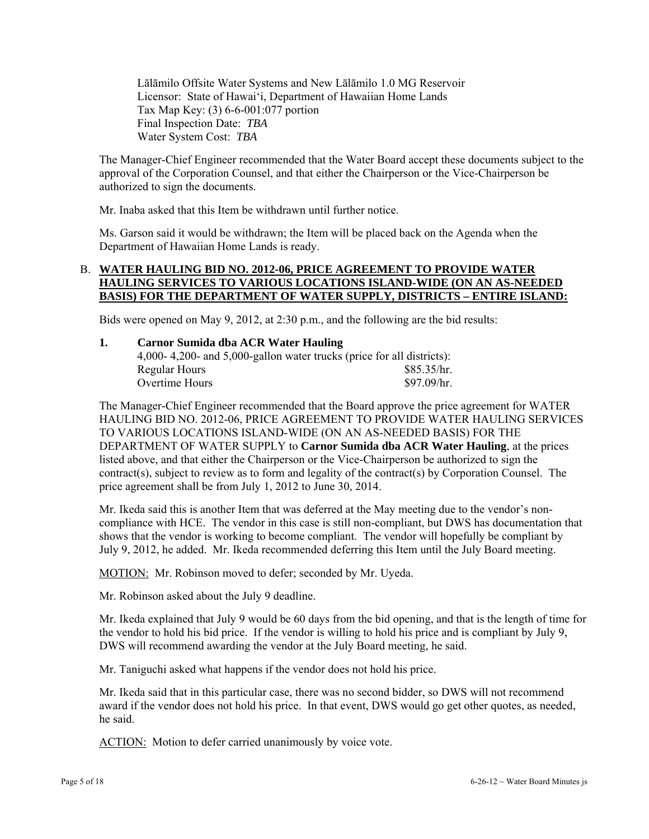Lālāmilo Offsite Water Systems and New Lālāmilo 1.0 MG Reservoir Licensor: State of Hawai'i, Department of Hawaiian Home Lands Tax Map Key: (3) 6-6-001:077 portion Final Inspection Date: *TBA* Water System Cost: *TBA*

The Manager-Chief Engineer recommended that the Water Board accept these documents subject to the approval of the Corporation Counsel, and that either the Chairperson or the Vice-Chairperson be authorized to sign the documents.

Mr. Inaba asked that this Item be withdrawn until further notice.

Ms. Garson said it would be withdrawn; the Item will be placed back on the Agenda when the Department of Hawaiian Home Lands is ready.

## B. **WATER HAULING BID NO. 2012-06, PRICE AGREEMENT TO PROVIDE WATER HAULING SERVICES TO VARIOUS LOCATIONS ISLAND-WIDE (ON AN AS-NEEDED BASIS) FOR THE DEPARTMENT OF WATER SUPPLY, DISTRICTS – ENTIRE ISLAND:**

Bids were opened on May 9, 2012, at 2:30 p.m., and the following are the bid results:

| Carnor Sumida dba ACR Water Hauling                                   |             |  |
|-----------------------------------------------------------------------|-------------|--|
| 4,000-4,200- and 5,000-gallon water trucks (price for all districts): |             |  |
| Regular Hours                                                         | \$85.35/hr. |  |
| Overtime Hours                                                        | \$97.09/hr. |  |

The Manager-Chief Engineer recommended that the Board approve the price agreement for WATER HAULING BID NO. 2012-06, PRICE AGREEMENT TO PROVIDE WATER HAULING SERVICES TO VARIOUS LOCATIONS ISLAND-WIDE (ON AN AS-NEEDED BASIS) FOR THE DEPARTMENT OF WATER SUPPLY to **Carnor Sumida dba ACR Water Hauling**, at the prices listed above, and that either the Chairperson or the Vice-Chairperson be authorized to sign the contract(s), subject to review as to form and legality of the contract(s) by Corporation Counsel. The price agreement shall be from July 1, 2012 to June 30, 2014.

Mr. Ikeda said this is another Item that was deferred at the May meeting due to the vendor's noncompliance with HCE. The vendor in this case is still non-compliant, but DWS has documentation that shows that the vendor is working to become compliant. The vendor will hopefully be compliant by July 9, 2012, he added. Mr. Ikeda recommended deferring this Item until the July Board meeting.

MOTION: Mr. Robinson moved to defer; seconded by Mr. Uyeda.

Mr. Robinson asked about the July 9 deadline.

Mr. Ikeda explained that July 9 would be 60 days from the bid opening, and that is the length of time for the vendor to hold his bid price. If the vendor is willing to hold his price and is compliant by July 9, DWS will recommend awarding the vendor at the July Board meeting, he said.

Mr. Taniguchi asked what happens if the vendor does not hold his price.

Mr. Ikeda said that in this particular case, there was no second bidder, so DWS will not recommend award if the vendor does not hold his price. In that event, DWS would go get other quotes, as needed, he said.

ACTION: Motion to defer carried unanimously by voice vote.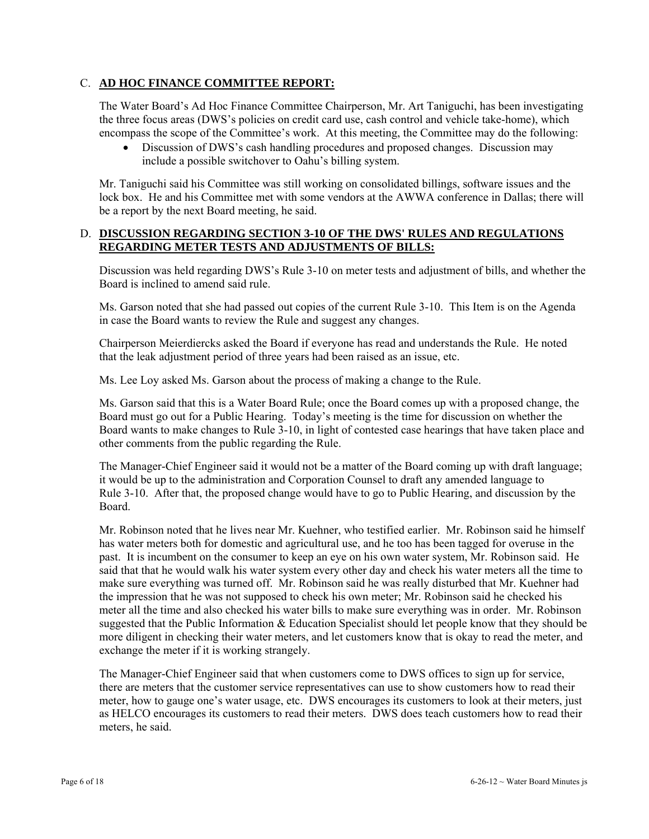## C. **AD HOC FINANCE COMMITTEE REPORT:**

The Water Board's Ad Hoc Finance Committee Chairperson, Mr. Art Taniguchi, has been investigating the three focus areas (DWS's policies on credit card use, cash control and vehicle take-home), which encompass the scope of the Committee's work. At this meeting, the Committee may do the following:

 Discussion of DWS's cash handling procedures and proposed changes. Discussion may include a possible switchover to Oahu's billing system.

Mr. Taniguchi said his Committee was still working on consolidated billings, software issues and the lock box. He and his Committee met with some vendors at the AWWA conference in Dallas; there will be a report by the next Board meeting, he said.

## D. **DISCUSSION REGARDING SECTION 3-10 OF THE DWS' RULES AND REGULATIONS REGARDING METER TESTS AND ADJUSTMENTS OF BILLS:**

Discussion was held regarding DWS's Rule 3-10 on meter tests and adjustment of bills, and whether the Board is inclined to amend said rule.

Ms. Garson noted that she had passed out copies of the current Rule 3-10. This Item is on the Agenda in case the Board wants to review the Rule and suggest any changes.

Chairperson Meierdiercks asked the Board if everyone has read and understands the Rule. He noted that the leak adjustment period of three years had been raised as an issue, etc.

Ms. Lee Loy asked Ms. Garson about the process of making a change to the Rule.

Ms. Garson said that this is a Water Board Rule; once the Board comes up with a proposed change, the Board must go out for a Public Hearing. Today's meeting is the time for discussion on whether the Board wants to make changes to Rule 3-10, in light of contested case hearings that have taken place and other comments from the public regarding the Rule.

The Manager-Chief Engineer said it would not be a matter of the Board coming up with draft language; it would be up to the administration and Corporation Counsel to draft any amended language to Rule 3-10. After that, the proposed change would have to go to Public Hearing, and discussion by the Board.

Mr. Robinson noted that he lives near Mr. Kuehner, who testified earlier. Mr. Robinson said he himself has water meters both for domestic and agricultural use, and he too has been tagged for overuse in the past. It is incumbent on the consumer to keep an eye on his own water system, Mr. Robinson said. He said that that he would walk his water system every other day and check his water meters all the time to make sure everything was turned off. Mr. Robinson said he was really disturbed that Mr. Kuehner had the impression that he was not supposed to check his own meter; Mr. Robinson said he checked his meter all the time and also checked his water bills to make sure everything was in order. Mr. Robinson suggested that the Public Information & Education Specialist should let people know that they should be more diligent in checking their water meters, and let customers know that is okay to read the meter, and exchange the meter if it is working strangely.

The Manager-Chief Engineer said that when customers come to DWS offices to sign up for service, there are meters that the customer service representatives can use to show customers how to read their meter, how to gauge one's water usage, etc. DWS encourages its customers to look at their meters, just as HELCO encourages its customers to read their meters. DWS does teach customers how to read their meters, he said.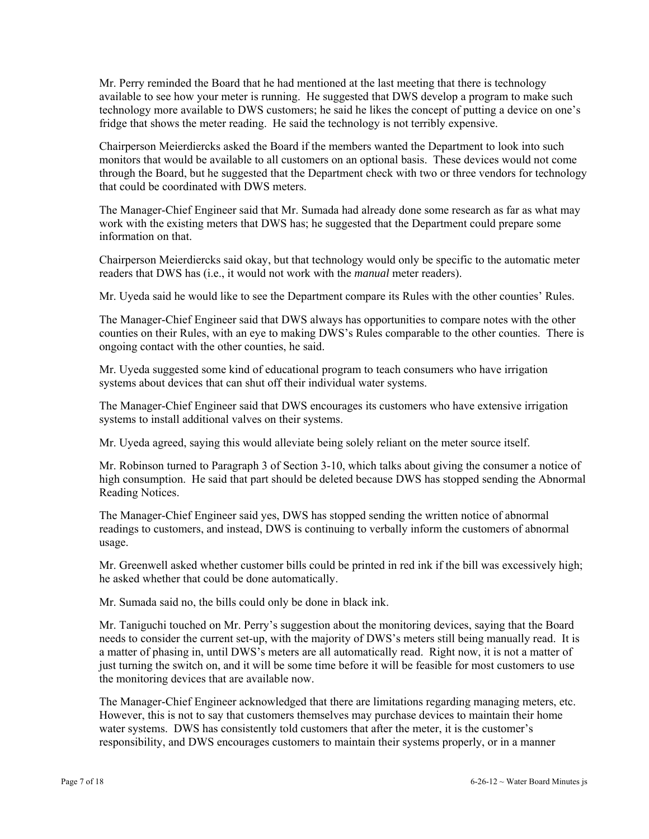Mr. Perry reminded the Board that he had mentioned at the last meeting that there is technology available to see how your meter is running. He suggested that DWS develop a program to make such technology more available to DWS customers; he said he likes the concept of putting a device on one's fridge that shows the meter reading. He said the technology is not terribly expensive.

Chairperson Meierdiercks asked the Board if the members wanted the Department to look into such monitors that would be available to all customers on an optional basis. These devices would not come through the Board, but he suggested that the Department check with two or three vendors for technology that could be coordinated with DWS meters.

The Manager-Chief Engineer said that Mr. Sumada had already done some research as far as what may work with the existing meters that DWS has; he suggested that the Department could prepare some information on that.

Chairperson Meierdiercks said okay, but that technology would only be specific to the automatic meter readers that DWS has (i.e., it would not work with the *manual* meter readers).

Mr. Uyeda said he would like to see the Department compare its Rules with the other counties' Rules.

The Manager-Chief Engineer said that DWS always has opportunities to compare notes with the other counties on their Rules, with an eye to making DWS's Rules comparable to the other counties. There is ongoing contact with the other counties, he said.

Mr. Uyeda suggested some kind of educational program to teach consumers who have irrigation systems about devices that can shut off their individual water systems.

The Manager-Chief Engineer said that DWS encourages its customers who have extensive irrigation systems to install additional valves on their systems.

Mr. Uyeda agreed, saying this would alleviate being solely reliant on the meter source itself.

Mr. Robinson turned to Paragraph 3 of Section 3-10, which talks about giving the consumer a notice of high consumption. He said that part should be deleted because DWS has stopped sending the Abnormal Reading Notices.

The Manager-Chief Engineer said yes, DWS has stopped sending the written notice of abnormal readings to customers, and instead, DWS is continuing to verbally inform the customers of abnormal usage.

Mr. Greenwell asked whether customer bills could be printed in red ink if the bill was excessively high; he asked whether that could be done automatically.

Mr. Sumada said no, the bills could only be done in black ink.

Mr. Taniguchi touched on Mr. Perry's suggestion about the monitoring devices, saying that the Board needs to consider the current set-up, with the majority of DWS's meters still being manually read. It is a matter of phasing in, until DWS's meters are all automatically read. Right now, it is not a matter of just turning the switch on, and it will be some time before it will be feasible for most customers to use the monitoring devices that are available now.

The Manager-Chief Engineer acknowledged that there are limitations regarding managing meters, etc. However, this is not to say that customers themselves may purchase devices to maintain their home water systems. DWS has consistently told customers that after the meter, it is the customer's responsibility, and DWS encourages customers to maintain their systems properly, or in a manner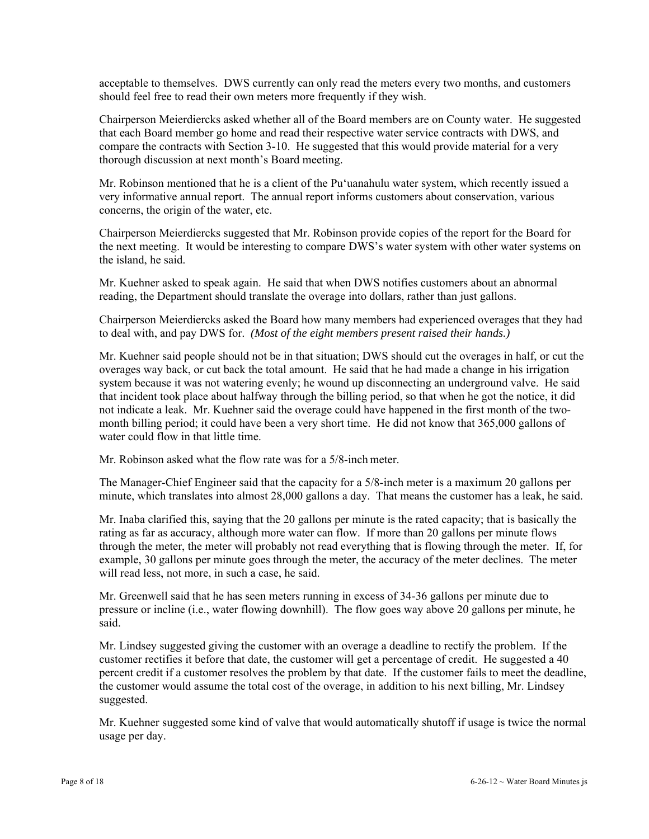acceptable to themselves. DWS currently can only read the meters every two months, and customers should feel free to read their own meters more frequently if they wish.

Chairperson Meierdiercks asked whether all of the Board members are on County water. He suggested that each Board member go home and read their respective water service contracts with DWS, and compare the contracts with Section 3-10. He suggested that this would provide material for a very thorough discussion at next month's Board meeting.

Mr. Robinson mentioned that he is a client of the Pu'uanahulu water system, which recently issued a very informative annual report. The annual report informs customers about conservation, various concerns, the origin of the water, etc.

Chairperson Meierdiercks suggested that Mr. Robinson provide copies of the report for the Board for the next meeting. It would be interesting to compare DWS's water system with other water systems on the island, he said.

Mr. Kuehner asked to speak again. He said that when DWS notifies customers about an abnormal reading, the Department should translate the overage into dollars, rather than just gallons.

Chairperson Meierdiercks asked the Board how many members had experienced overages that they had to deal with, and pay DWS for. *(Most of the eight members present raised their hands.)*

Mr. Kuehner said people should not be in that situation; DWS should cut the overages in half, or cut the overages way back, or cut back the total amount. He said that he had made a change in his irrigation system because it was not watering evenly; he wound up disconnecting an underground valve. He said that incident took place about halfway through the billing period, so that when he got the notice, it did not indicate a leak. Mr. Kuehner said the overage could have happened in the first month of the twomonth billing period; it could have been a very short time. He did not know that 365,000 gallons of water could flow in that little time.

Mr. Robinson asked what the flow rate was for a 5/8-inch meter.

The Manager-Chief Engineer said that the capacity for a 5/8-inch meter is a maximum 20 gallons per minute, which translates into almost 28,000 gallons a day. That means the customer has a leak, he said.

Mr. Inaba clarified this, saying that the 20 gallons per minute is the rated capacity; that is basically the rating as far as accuracy, although more water can flow. If more than 20 gallons per minute flows through the meter, the meter will probably not read everything that is flowing through the meter. If, for example, 30 gallons per minute goes through the meter, the accuracy of the meter declines. The meter will read less, not more, in such a case, he said.

Mr. Greenwell said that he has seen meters running in excess of 34-36 gallons per minute due to pressure or incline (i.e., water flowing downhill). The flow goes way above 20 gallons per minute, he said.

Mr. Lindsey suggested giving the customer with an overage a deadline to rectify the problem. If the customer rectifies it before that date, the customer will get a percentage of credit. He suggested a 40 percent credit if a customer resolves the problem by that date. If the customer fails to meet the deadline, the customer would assume the total cost of the overage, in addition to his next billing, Mr. Lindsey suggested.

Mr. Kuehner suggested some kind of valve that would automatically shutoff if usage is twice the normal usage per day.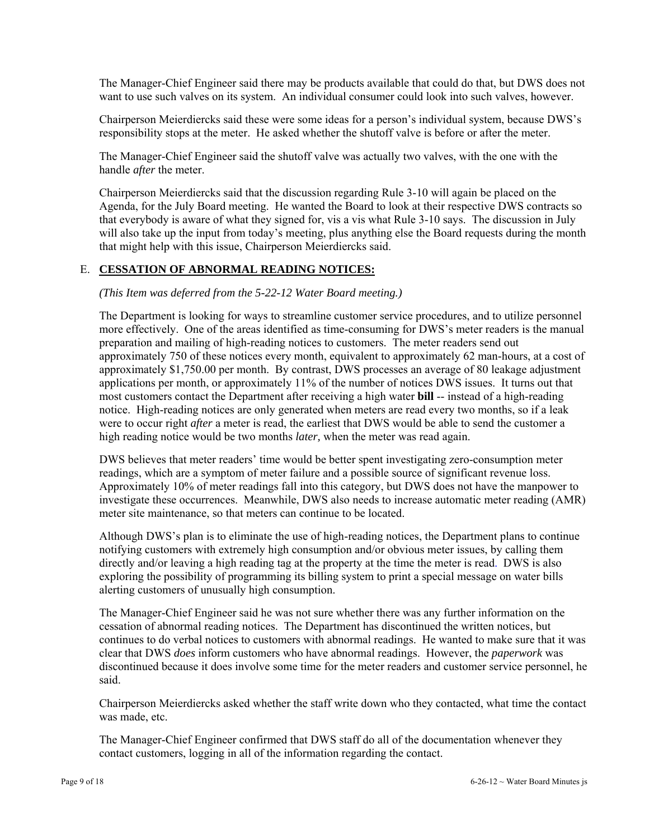The Manager-Chief Engineer said there may be products available that could do that, but DWS does not want to use such valves on its system. An individual consumer could look into such valves, however.

Chairperson Meierdiercks said these were some ideas for a person's individual system, because DWS's responsibility stops at the meter. He asked whether the shutoff valve is before or after the meter.

The Manager-Chief Engineer said the shutoff valve was actually two valves, with the one with the handle *after* the meter.

Chairperson Meierdiercks said that the discussion regarding Rule 3-10 will again be placed on the Agenda, for the July Board meeting. He wanted the Board to look at their respective DWS contracts so that everybody is aware of what they signed for, vis a vis what Rule 3-10 says. The discussion in July will also take up the input from today's meeting, plus anything else the Board requests during the month that might help with this issue, Chairperson Meierdiercks said.

### E. **CESSATION OF ABNORMAL READING NOTICES:**

*(This Item was deferred from the 5-22-12 Water Board meeting.)* 

The Department is looking for ways to streamline customer service procedures, and to utilize personnel more effectively. One of the areas identified as time-consuming for DWS's meter readers is the manual preparation and mailing of high-reading notices to customers. The meter readers send out approximately 750 of these notices every month, equivalent to approximately 62 man-hours, at a cost of approximately \$1,750.00 per month. By contrast, DWS processes an average of 80 leakage adjustment applications per month, or approximately 11% of the number of notices DWS issues. It turns out that most customers contact the Department after receiving a high water **bill** -- instead of a high-reading notice. High-reading notices are only generated when meters are read every two months, so if a leak were to occur right *after* a meter is read, the earliest that DWS would be able to send the customer a high reading notice would be two months *later,* when the meter was read again.

DWS believes that meter readers' time would be better spent investigating zero-consumption meter readings, which are a symptom of meter failure and a possible source of significant revenue loss. Approximately 10% of meter readings fall into this category, but DWS does not have the manpower to investigate these occurrences. Meanwhile, DWS also needs to increase automatic meter reading (AMR) meter site maintenance, so that meters can continue to be located.

Although DWS's plan is to eliminate the use of high-reading notices, the Department plans to continue notifying customers with extremely high consumption and/or obvious meter issues, by calling them directly and/or leaving a high reading tag at the property at the time the meter is read. DWS is also exploring the possibility of programming its billing system to print a special message on water bills alerting customers of unusually high consumption.

The Manager-Chief Engineer said he was not sure whether there was any further information on the cessation of abnormal reading notices. The Department has discontinued the written notices, but continues to do verbal notices to customers with abnormal readings. He wanted to make sure that it was clear that DWS *does* inform customers who have abnormal readings. However, the *paperwork* was discontinued because it does involve some time for the meter readers and customer service personnel, he said.

Chairperson Meierdiercks asked whether the staff write down who they contacted, what time the contact was made, etc.

The Manager-Chief Engineer confirmed that DWS staff do all of the documentation whenever they contact customers, logging in all of the information regarding the contact.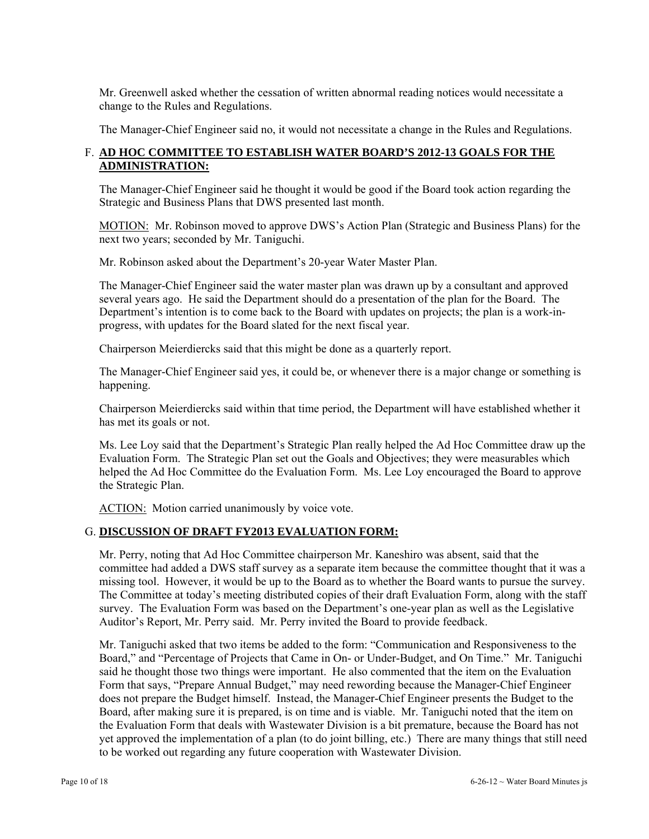Mr. Greenwell asked whether the cessation of written abnormal reading notices would necessitate a change to the Rules and Regulations.

The Manager-Chief Engineer said no, it would not necessitate a change in the Rules and Regulations.

# F. **AD HOC COMMITTEE TO ESTABLISH WATER BOARD'S 2012-13 GOALS FOR THE ADMINISTRATION:**

The Manager-Chief Engineer said he thought it would be good if the Board took action regarding the Strategic and Business Plans that DWS presented last month.

MOTION: Mr. Robinson moved to approve DWS's Action Plan (Strategic and Business Plans) for the next two years; seconded by Mr. Taniguchi.

Mr. Robinson asked about the Department's 20-year Water Master Plan.

The Manager-Chief Engineer said the water master plan was drawn up by a consultant and approved several years ago. He said the Department should do a presentation of the plan for the Board. The Department's intention is to come back to the Board with updates on projects; the plan is a work-inprogress, with updates for the Board slated for the next fiscal year.

Chairperson Meierdiercks said that this might be done as a quarterly report.

The Manager-Chief Engineer said yes, it could be, or whenever there is a major change or something is happening.

Chairperson Meierdiercks said within that time period, the Department will have established whether it has met its goals or not.

Ms. Lee Loy said that the Department's Strategic Plan really helped the Ad Hoc Committee draw up the Evaluation Form. The Strategic Plan set out the Goals and Objectives; they were measurables which helped the Ad Hoc Committee do the Evaluation Form. Ms. Lee Loy encouraged the Board to approve the Strategic Plan.

ACTION: Motion carried unanimously by voice vote.

## G. **DISCUSSION OF DRAFT FY2013 EVALUATION FORM:**

Mr. Perry, noting that Ad Hoc Committee chairperson Mr. Kaneshiro was absent, said that the committee had added a DWS staff survey as a separate item because the committee thought that it was a missing tool. However, it would be up to the Board as to whether the Board wants to pursue the survey. The Committee at today's meeting distributed copies of their draft Evaluation Form, along with the staff survey. The Evaluation Form was based on the Department's one-year plan as well as the Legislative Auditor's Report, Mr. Perry said. Mr. Perry invited the Board to provide feedback.

Mr. Taniguchi asked that two items be added to the form: "Communication and Responsiveness to the Board," and "Percentage of Projects that Came in On- or Under-Budget, and On Time." Mr. Taniguchi said he thought those two things were important. He also commented that the item on the Evaluation Form that says, "Prepare Annual Budget," may need rewording because the Manager-Chief Engineer does not prepare the Budget himself. Instead, the Manager-Chief Engineer presents the Budget to the Board, after making sure it is prepared, is on time and is viable. Mr. Taniguchi noted that the item on the Evaluation Form that deals with Wastewater Division is a bit premature, because the Board has not yet approved the implementation of a plan (to do joint billing, etc.) There are many things that still need to be worked out regarding any future cooperation with Wastewater Division.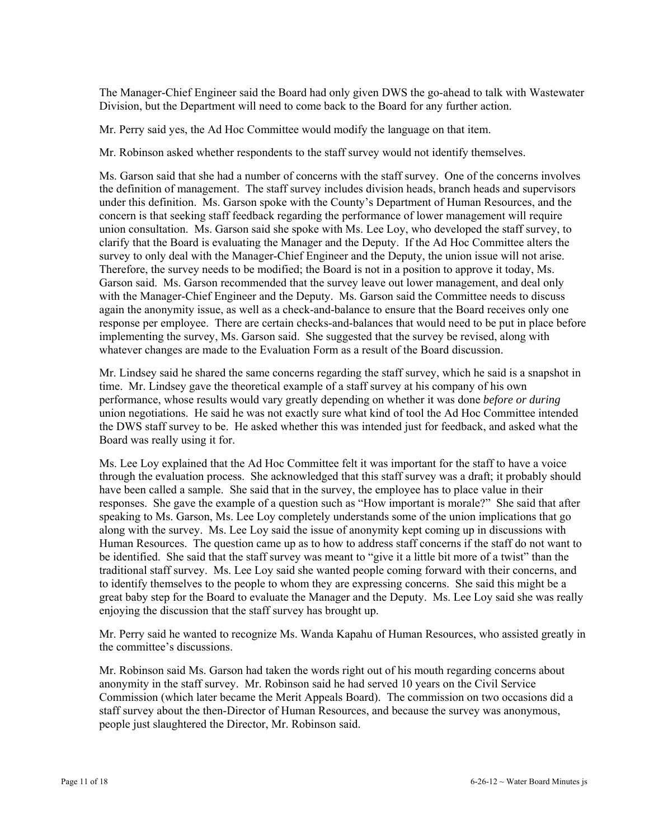The Manager-Chief Engineer said the Board had only given DWS the go-ahead to talk with Wastewater Division, but the Department will need to come back to the Board for any further action.

Mr. Perry said yes, the Ad Hoc Committee would modify the language on that item.

Mr. Robinson asked whether respondents to the staff survey would not identify themselves.

Ms. Garson said that she had a number of concerns with the staff survey. One of the concerns involves the definition of management. The staff survey includes division heads, branch heads and supervisors under this definition. Ms. Garson spoke with the County's Department of Human Resources, and the concern is that seeking staff feedback regarding the performance of lower management will require union consultation. Ms. Garson said she spoke with Ms. Lee Loy, who developed the staff survey, to clarify that the Board is evaluating the Manager and the Deputy. If the Ad Hoc Committee alters the survey to only deal with the Manager-Chief Engineer and the Deputy, the union issue will not arise. Therefore, the survey needs to be modified; the Board is not in a position to approve it today, Ms. Garson said. Ms. Garson recommended that the survey leave out lower management, and deal only with the Manager-Chief Engineer and the Deputy. Ms. Garson said the Committee needs to discuss again the anonymity issue, as well as a check-and-balance to ensure that the Board receives only one response per employee. There are certain checks-and-balances that would need to be put in place before implementing the survey, Ms. Garson said. She suggested that the survey be revised, along with whatever changes are made to the Evaluation Form as a result of the Board discussion.

Mr. Lindsey said he shared the same concerns regarding the staff survey, which he said is a snapshot in time. Mr. Lindsey gave the theoretical example of a staff survey at his company of his own performance, whose results would vary greatly depending on whether it was done *before or during* union negotiations. He said he was not exactly sure what kind of tool the Ad Hoc Committee intended the DWS staff survey to be. He asked whether this was intended just for feedback, and asked what the Board was really using it for.

Ms. Lee Loy explained that the Ad Hoc Committee felt it was important for the staff to have a voice through the evaluation process. She acknowledged that this staff survey was a draft; it probably should have been called a sample. She said that in the survey, the employee has to place value in their responses. She gave the example of a question such as "How important is morale?" She said that after speaking to Ms. Garson, Ms. Lee Loy completely understands some of the union implications that go along with the survey. Ms. Lee Loy said the issue of anonymity kept coming up in discussions with Human Resources. The question came up as to how to address staff concerns if the staff do not want to be identified. She said that the staff survey was meant to "give it a little bit more of a twist" than the traditional staff survey. Ms. Lee Loy said she wanted people coming forward with their concerns, and to identify themselves to the people to whom they are expressing concerns. She said this might be a great baby step for the Board to evaluate the Manager and the Deputy. Ms. Lee Loy said she was really enjoying the discussion that the staff survey has brought up.

Mr. Perry said he wanted to recognize Ms. Wanda Kapahu of Human Resources, who assisted greatly in the committee's discussions.

Mr. Robinson said Ms. Garson had taken the words right out of his mouth regarding concerns about anonymity in the staff survey. Mr. Robinson said he had served 10 years on the Civil Service Commission (which later became the Merit Appeals Board). The commission on two occasions did a staff survey about the then-Director of Human Resources, and because the survey was anonymous, people just slaughtered the Director, Mr. Robinson said.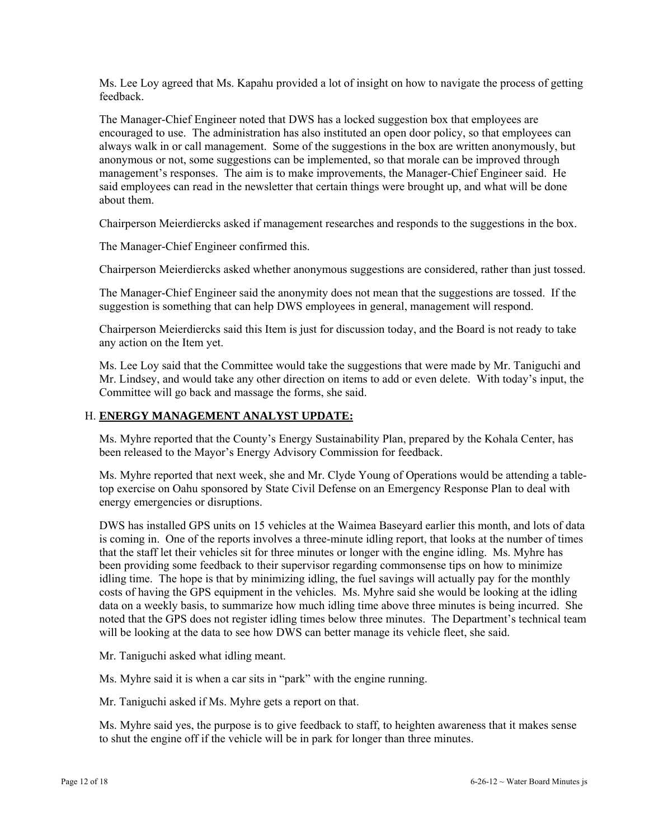Ms. Lee Loy agreed that Ms. Kapahu provided a lot of insight on how to navigate the process of getting feedback.

The Manager-Chief Engineer noted that DWS has a locked suggestion box that employees are encouraged to use. The administration has also instituted an open door policy, so that employees can always walk in or call management. Some of the suggestions in the box are written anonymously, but anonymous or not, some suggestions can be implemented, so that morale can be improved through management's responses. The aim is to make improvements, the Manager-Chief Engineer said. He said employees can read in the newsletter that certain things were brought up, and what will be done about them.

Chairperson Meierdiercks asked if management researches and responds to the suggestions in the box.

The Manager-Chief Engineer confirmed this.

Chairperson Meierdiercks asked whether anonymous suggestions are considered, rather than just tossed.

The Manager-Chief Engineer said the anonymity does not mean that the suggestions are tossed. If the suggestion is something that can help DWS employees in general, management will respond.

Chairperson Meierdiercks said this Item is just for discussion today, and the Board is not ready to take any action on the Item yet.

Ms. Lee Loy said that the Committee would take the suggestions that were made by Mr. Taniguchi and Mr. Lindsey, and would take any other direction on items to add or even delete. With today's input, the Committee will go back and massage the forms, she said.

## H. **ENERGY MANAGEMENT ANALYST UPDATE:**

Ms. Myhre reported that the County's Energy Sustainability Plan, prepared by the Kohala Center, has been released to the Mayor's Energy Advisory Commission for feedback.

Ms. Myhre reported that next week, she and Mr. Clyde Young of Operations would be attending a tabletop exercise on Oahu sponsored by State Civil Defense on an Emergency Response Plan to deal with energy emergencies or disruptions.

DWS has installed GPS units on 15 vehicles at the Waimea Baseyard earlier this month, and lots of data is coming in. One of the reports involves a three-minute idling report, that looks at the number of times that the staff let their vehicles sit for three minutes or longer with the engine idling. Ms. Myhre has been providing some feedback to their supervisor regarding commonsense tips on how to minimize idling time. The hope is that by minimizing idling, the fuel savings will actually pay for the monthly costs of having the GPS equipment in the vehicles. Ms. Myhre said she would be looking at the idling data on a weekly basis, to summarize how much idling time above three minutes is being incurred. She noted that the GPS does not register idling times below three minutes. The Department's technical team will be looking at the data to see how DWS can better manage its vehicle fleet, she said.

Mr. Taniguchi asked what idling meant.

Ms. Myhre said it is when a car sits in "park" with the engine running.

Mr. Taniguchi asked if Ms. Myhre gets a report on that.

Ms. Myhre said yes, the purpose is to give feedback to staff, to heighten awareness that it makes sense to shut the engine off if the vehicle will be in park for longer than three minutes.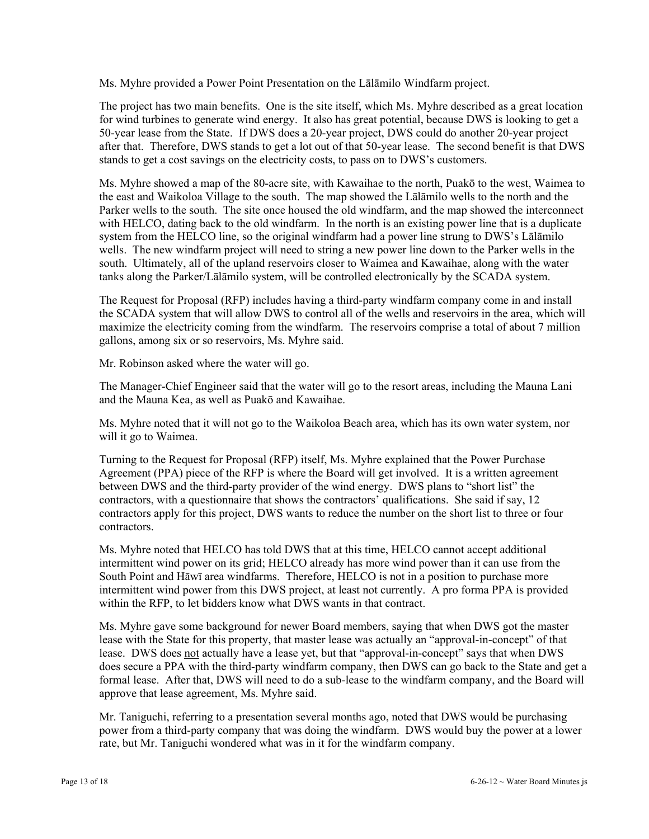Ms. Myhre provided a Power Point Presentation on the Lālāmilo Windfarm project.

The project has two main benefits. One is the site itself, which Ms. Myhre described as a great location for wind turbines to generate wind energy. It also has great potential, because DWS is looking to get a 50-year lease from the State. If DWS does a 20-year project, DWS could do another 20-year project after that. Therefore, DWS stands to get a lot out of that 50-year lease. The second benefit is that DWS stands to get a cost savings on the electricity costs, to pass on to DWS's customers.

Ms. Myhre showed a map of the 80-acre site, with Kawaihae to the north, Puakō to the west, Waimea to the east and Waikoloa Village to the south. The map showed the Lālāmilo wells to the north and the Parker wells to the south. The site once housed the old windfarm, and the map showed the interconnect with HELCO, dating back to the old windfarm. In the north is an existing power line that is a duplicate system from the HELCO line, so the original windfarm had a power line strung to DWS's Lālāmilo wells. The new windfarm project will need to string a new power line down to the Parker wells in the south. Ultimately, all of the upland reservoirs closer to Waimea and Kawaihae, along with the water tanks along the Parker/Lālāmilo system, will be controlled electronically by the SCADA system.

The Request for Proposal (RFP) includes having a third-party windfarm company come in and install the SCADA system that will allow DWS to control all of the wells and reservoirs in the area, which will maximize the electricity coming from the windfarm. The reservoirs comprise a total of about 7 million gallons, among six or so reservoirs, Ms. Myhre said.

Mr. Robinson asked where the water will go.

The Manager-Chief Engineer said that the water will go to the resort areas, including the Mauna Lani and the Mauna Kea, as well as Puakō and Kawaihae.

Ms. Myhre noted that it will not go to the Waikoloa Beach area, which has its own water system, nor will it go to Waimea.

Turning to the Request for Proposal (RFP) itself, Ms. Myhre explained that the Power Purchase Agreement (PPA) piece of the RFP is where the Board will get involved. It is a written agreement between DWS and the third-party provider of the wind energy. DWS plans to "short list" the contractors, with a questionnaire that shows the contractors' qualifications. She said if say, 12 contractors apply for this project, DWS wants to reduce the number on the short list to three or four contractors.

Ms. Myhre noted that HELCO has told DWS that at this time, HELCO cannot accept additional intermittent wind power on its grid; HELCO already has more wind power than it can use from the South Point and Hāwī area windfarms. Therefore, HELCO is not in a position to purchase more intermittent wind power from this DWS project, at least not currently. A pro forma PPA is provided within the RFP, to let bidders know what DWS wants in that contract.

Ms. Myhre gave some background for newer Board members, saying that when DWS got the master lease with the State for this property, that master lease was actually an "approval-in-concept" of that lease. DWS does not actually have a lease yet, but that "approval-in-concept" says that when DWS does secure a PPA with the third-party windfarm company, then DWS can go back to the State and get a formal lease. After that, DWS will need to do a sub-lease to the windfarm company, and the Board will approve that lease agreement, Ms. Myhre said.

Mr. Taniguchi, referring to a presentation several months ago, noted that DWS would be purchasing power from a third-party company that was doing the windfarm. DWS would buy the power at a lower rate, but Mr. Taniguchi wondered what was in it for the windfarm company.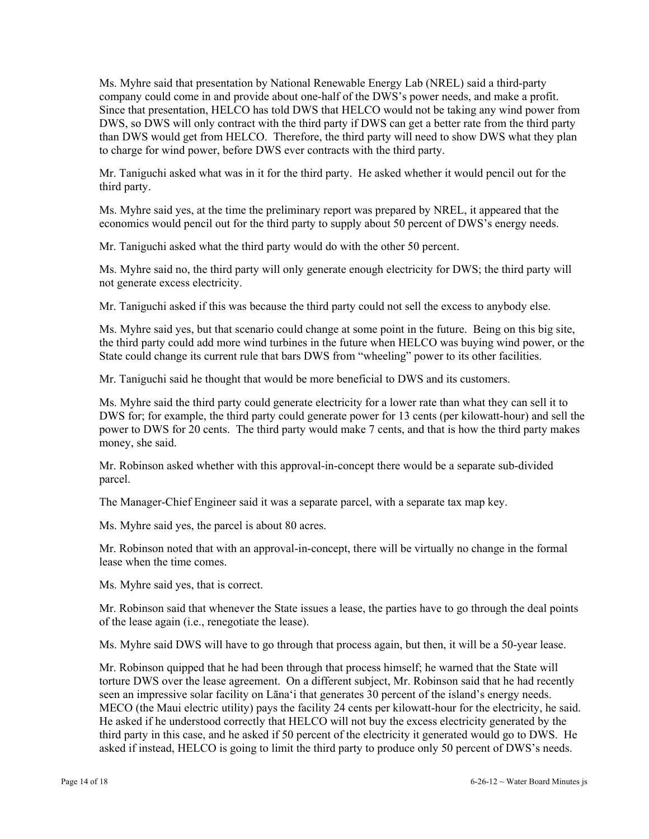Ms. Myhre said that presentation by National Renewable Energy Lab (NREL) said a third-party company could come in and provide about one-half of the DWS's power needs, and make a profit. Since that presentation, HELCO has told DWS that HELCO would not be taking any wind power from DWS, so DWS will only contract with the third party if DWS can get a better rate from the third party than DWS would get from HELCO. Therefore, the third party will need to show DWS what they plan to charge for wind power, before DWS ever contracts with the third party.

Mr. Taniguchi asked what was in it for the third party. He asked whether it would pencil out for the third party.

Ms. Myhre said yes, at the time the preliminary report was prepared by NREL, it appeared that the economics would pencil out for the third party to supply about 50 percent of DWS's energy needs.

Mr. Taniguchi asked what the third party would do with the other 50 percent.

Ms. Myhre said no, the third party will only generate enough electricity for DWS; the third party will not generate excess electricity.

Mr. Taniguchi asked if this was because the third party could not sell the excess to anybody else.

Ms. Myhre said yes, but that scenario could change at some point in the future. Being on this big site, the third party could add more wind turbines in the future when HELCO was buying wind power, or the State could change its current rule that bars DWS from "wheeling" power to its other facilities.

Mr. Taniguchi said he thought that would be more beneficial to DWS and its customers.

Ms. Myhre said the third party could generate electricity for a lower rate than what they can sell it to DWS for; for example, the third party could generate power for 13 cents (per kilowatt-hour) and sell the power to DWS for 20 cents. The third party would make 7 cents, and that is how the third party makes money, she said.

Mr. Robinson asked whether with this approval-in-concept there would be a separate sub-divided parcel.

The Manager-Chief Engineer said it was a separate parcel, with a separate tax map key.

Ms. Myhre said yes, the parcel is about 80 acres.

Mr. Robinson noted that with an approval-in-concept, there will be virtually no change in the formal lease when the time comes.

Ms. Myhre said yes, that is correct.

Mr. Robinson said that whenever the State issues a lease, the parties have to go through the deal points of the lease again (i.e., renegotiate the lease).

Ms. Myhre said DWS will have to go through that process again, but then, it will be a 50-year lease.

Mr. Robinson quipped that he had been through that process himself; he warned that the State will torture DWS over the lease agreement. On a different subject, Mr. Robinson said that he had recently seen an impressive solar facility on Lāna'i that generates 30 percent of the island's energy needs. MECO (the Maui electric utility) pays the facility 24 cents per kilowatt-hour for the electricity, he said. He asked if he understood correctly that HELCO will not buy the excess electricity generated by the third party in this case, and he asked if 50 percent of the electricity it generated would go to DWS. He asked if instead, HELCO is going to limit the third party to produce only 50 percent of DWS's needs.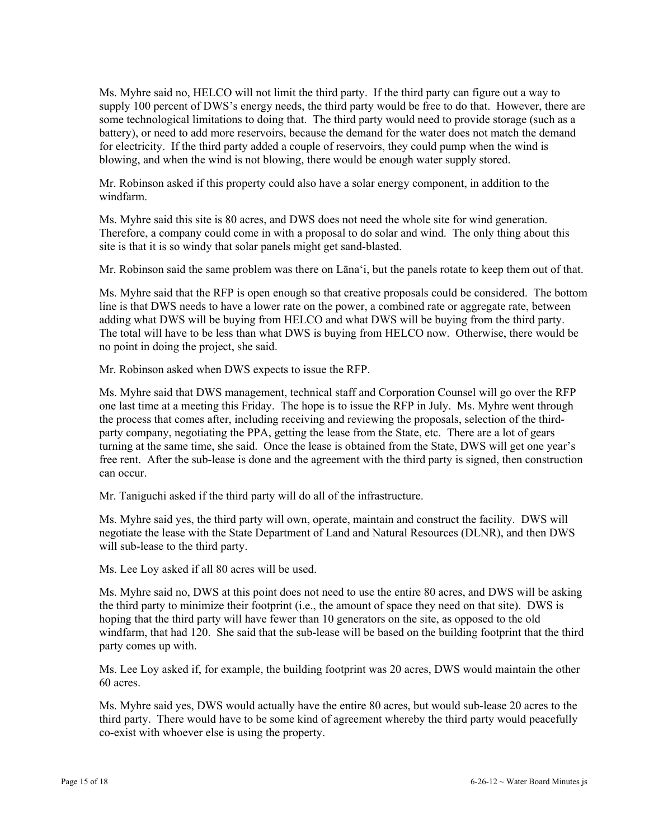Ms. Myhre said no, HELCO will not limit the third party. If the third party can figure out a way to supply 100 percent of DWS's energy needs, the third party would be free to do that. However, there are some technological limitations to doing that. The third party would need to provide storage (such as a battery), or need to add more reservoirs, because the demand for the water does not match the demand for electricity. If the third party added a couple of reservoirs, they could pump when the wind is blowing, and when the wind is not blowing, there would be enough water supply stored.

Mr. Robinson asked if this property could also have a solar energy component, in addition to the windfarm.

Ms. Myhre said this site is 80 acres, and DWS does not need the whole site for wind generation. Therefore, a company could come in with a proposal to do solar and wind. The only thing about this site is that it is so windy that solar panels might get sand-blasted.

Mr. Robinson said the same problem was there on Lāna'i, but the panels rotate to keep them out of that.

Ms. Myhre said that the RFP is open enough so that creative proposals could be considered. The bottom line is that DWS needs to have a lower rate on the power, a combined rate or aggregate rate, between adding what DWS will be buying from HELCO and what DWS will be buying from the third party. The total will have to be less than what DWS is buying from HELCO now. Otherwise, there would be no point in doing the project, she said.

Mr. Robinson asked when DWS expects to issue the RFP.

Ms. Myhre said that DWS management, technical staff and Corporation Counsel will go over the RFP one last time at a meeting this Friday. The hope is to issue the RFP in July. Ms. Myhre went through the process that comes after, including receiving and reviewing the proposals, selection of the thirdparty company, negotiating the PPA, getting the lease from the State, etc. There are a lot of gears turning at the same time, she said. Once the lease is obtained from the State, DWS will get one year's free rent. After the sub-lease is done and the agreement with the third party is signed, then construction can occur.

Mr. Taniguchi asked if the third party will do all of the infrastructure.

Ms. Myhre said yes, the third party will own, operate, maintain and construct the facility. DWS will negotiate the lease with the State Department of Land and Natural Resources (DLNR), and then DWS will sub-lease to the third party.

Ms. Lee Loy asked if all 80 acres will be used.

Ms. Myhre said no, DWS at this point does not need to use the entire 80 acres, and DWS will be asking the third party to minimize their footprint (i.e., the amount of space they need on that site). DWS is hoping that the third party will have fewer than 10 generators on the site, as opposed to the old windfarm, that had 120. She said that the sub-lease will be based on the building footprint that the third party comes up with.

Ms. Lee Loy asked if, for example, the building footprint was 20 acres, DWS would maintain the other 60 acres.

Ms. Myhre said yes, DWS would actually have the entire 80 acres, but would sub-lease 20 acres to the third party. There would have to be some kind of agreement whereby the third party would peacefully co-exist with whoever else is using the property.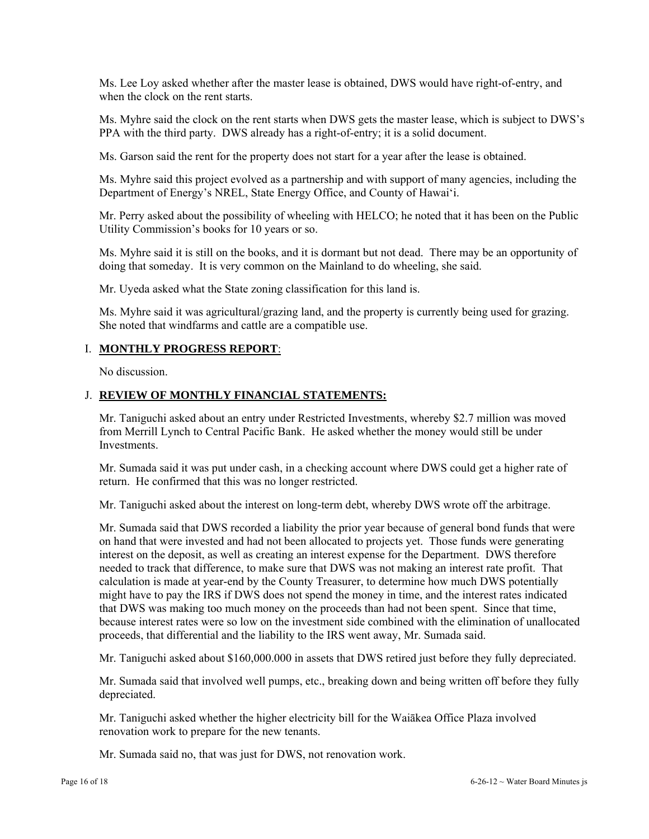Ms. Lee Loy asked whether after the master lease is obtained, DWS would have right-of-entry, and when the clock on the rent starts.

Ms. Myhre said the clock on the rent starts when DWS gets the master lease, which is subject to DWS's PPA with the third party. DWS already has a right-of-entry; it is a solid document.

Ms. Garson said the rent for the property does not start for a year after the lease is obtained.

Ms. Myhre said this project evolved as a partnership and with support of many agencies, including the Department of Energy's NREL, State Energy Office, and County of Hawai'i.

Mr. Perry asked about the possibility of wheeling with HELCO; he noted that it has been on the Public Utility Commission's books for 10 years or so.

Ms. Myhre said it is still on the books, and it is dormant but not dead. There may be an opportunity of doing that someday. It is very common on the Mainland to do wheeling, she said.

Mr. Uyeda asked what the State zoning classification for this land is.

Ms. Myhre said it was agricultural/grazing land, and the property is currently being used for grazing. She noted that windfarms and cattle are a compatible use.

### I. **MONTHLY PROGRESS REPORT**:

No discussion.

#### J. **REVIEW OF MONTHLY FINANCIAL STATEMENTS:**

Mr. Taniguchi asked about an entry under Restricted Investments, whereby \$2.7 million was moved from Merrill Lynch to Central Pacific Bank. He asked whether the money would still be under **Investments** 

Mr. Sumada said it was put under cash, in a checking account where DWS could get a higher rate of return. He confirmed that this was no longer restricted.

Mr. Taniguchi asked about the interest on long-term debt, whereby DWS wrote off the arbitrage.

Mr. Sumada said that DWS recorded a liability the prior year because of general bond funds that were on hand that were invested and had not been allocated to projects yet. Those funds were generating interest on the deposit, as well as creating an interest expense for the Department. DWS therefore needed to track that difference, to make sure that DWS was not making an interest rate profit. That calculation is made at year-end by the County Treasurer, to determine how much DWS potentially might have to pay the IRS if DWS does not spend the money in time, and the interest rates indicated that DWS was making too much money on the proceeds than had not been spent. Since that time, because interest rates were so low on the investment side combined with the elimination of unallocated proceeds, that differential and the liability to the IRS went away, Mr. Sumada said.

Mr. Taniguchi asked about \$160,000.000 in assets that DWS retired just before they fully depreciated.

Mr. Sumada said that involved well pumps, etc., breaking down and being written off before they fully depreciated.

Mr. Taniguchi asked whether the higher electricity bill for the Waiākea Office Plaza involved renovation work to prepare for the new tenants.

Mr. Sumada said no, that was just for DWS, not renovation work.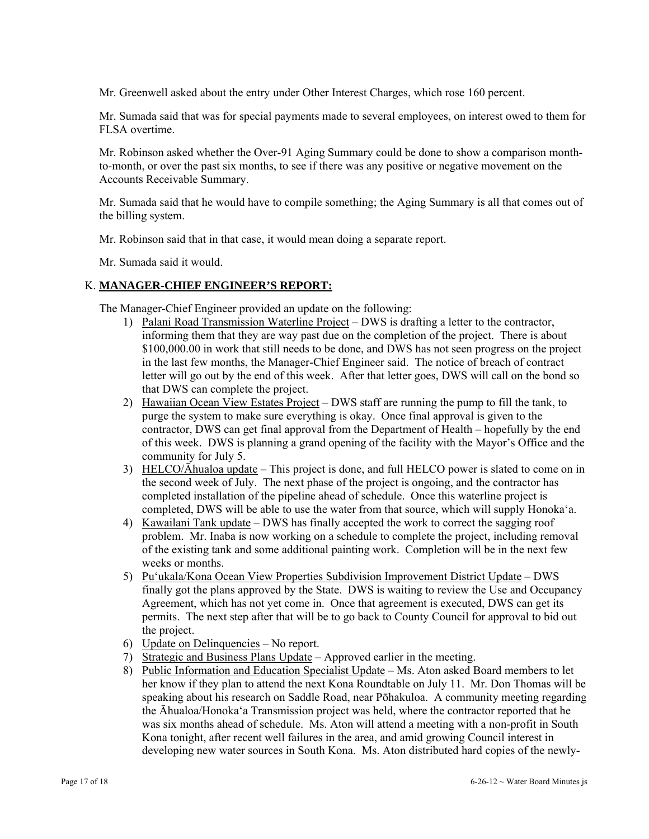Mr. Greenwell asked about the entry under Other Interest Charges, which rose 160 percent.

Mr. Sumada said that was for special payments made to several employees, on interest owed to them for FLSA overtime.

Mr. Robinson asked whether the Over-91 Aging Summary could be done to show a comparison monthto-month, or over the past six months, to see if there was any positive or negative movement on the Accounts Receivable Summary.

Mr. Sumada said that he would have to compile something; the Aging Summary is all that comes out of the billing system.

Mr. Robinson said that in that case, it would mean doing a separate report.

Mr. Sumada said it would.

### K. **MANAGER-CHIEF ENGINEER'S REPORT:**

The Manager-Chief Engineer provided an update on the following:

- 1) Palani Road Transmission Waterline Project DWS is drafting a letter to the contractor, informing them that they are way past due on the completion of the project. There is about \$100,000.00 in work that still needs to be done, and DWS has not seen progress on the project in the last few months, the Manager-Chief Engineer said. The notice of breach of contract letter will go out by the end of this week. After that letter goes, DWS will call on the bond so that DWS can complete the project.
- 2) Hawaiian Ocean View Estates Project DWS staff are running the pump to fill the tank, to purge the system to make sure everything is okay. Once final approval is given to the contractor, DWS can get final approval from the Department of Health – hopefully by the end of this week. DWS is planning a grand opening of the facility with the Mayor's Office and the community for July 5.
- 3) HELCO/Āhualoa update This project is done, and full HELCO power is slated to come on in the second week of July. The next phase of the project is ongoing, and the contractor has completed installation of the pipeline ahead of schedule. Once this waterline project is completed, DWS will be able to use the water from that source, which will supply Honoka'a.
- 4) Kawailani Tank update DWS has finally accepted the work to correct the sagging roof problem. Mr. Inaba is now working on a schedule to complete the project, including removal of the existing tank and some additional painting work. Completion will be in the next few weeks or months.
- 5) Pu'ukala/Kona Ocean View Properties Subdivision Improvement District Update DWS finally got the plans approved by the State. DWS is waiting to review the Use and Occupancy Agreement, which has not yet come in. Once that agreement is executed, DWS can get its permits. The next step after that will be to go back to County Council for approval to bid out the project.
- 6) Update on Delinquencies No report.
- 7) Strategic and Business Plans Update Approved earlier in the meeting.
- 8) Public Information and Education Specialist Update Ms. Aton asked Board members to let her know if they plan to attend the next Kona Roundtable on July 11. Mr. Don Thomas will be speaking about his research on Saddle Road, near Pōhakuloa. A community meeting regarding the Āhualoa/Honoka'a Transmission project was held, where the contractor reported that he was six months ahead of schedule. Ms. Aton will attend a meeting with a non-profit in South Kona tonight, after recent well failures in the area, and amid growing Council interest in developing new water sources in South Kona. Ms. Aton distributed hard copies of the newly-